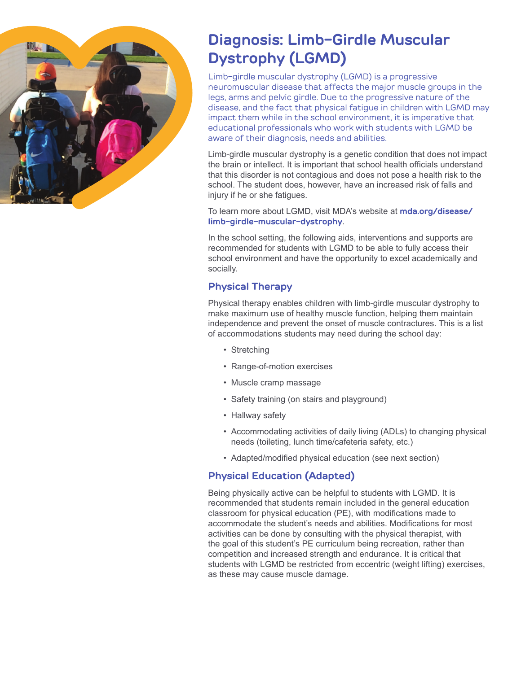

# **Diagnosis: Limb-Girdle Muscular Dystrophy (LGMD)**

Limb-girdle muscular dystrophy (LGMD) is a progressive neuromuscular disease that affects the major muscle groups in the legs, arms and pelvic girdle. Due to the progressive nature of the disease, and the fact that physical fatigue in children with LGMD may impact them while in the school environment, it is imperative that educational professionals who work with students with LGMD be aware of their diagnosis, needs and abilities.

Limb-girdle muscular dystrophy is a genetic condition that does not impact the brain or intellect. It is important that school health officials understand that this disorder is not contagious and does not pose a health risk to the school. The student does, however, have an increased risk of falls and injury if he or she fatigues.

To learn more about LGMD, visit MDA's website at **mda.org/disease/ limb-girdle-muscular-dystrophy**.

In the school setting, the following aids, interventions and supports are recommended for students with LGMD to be able to fully access their school environment and have the opportunity to excel academically and socially.

#### **Physical Therapy**

Physical therapy enables children with limb-girdle muscular dystrophy to make maximum use of healthy muscle function, helping them maintain independence and prevent the onset of muscle contractures. This is a list of accommodations students may need during the school day:

- Stretching
- Range-of-motion exercises
- Muscle cramp massage
- Safety training (on stairs and playground)
- Hallway safety
- Accommodating activities of daily living (ADLs) to changing physical needs (toileting, lunch time/cafeteria safety, etc.)
- Adapted/modified physical education (see next section)

## **Physical Education (Adapted)**

Being physically active can be helpful to students with LGMD. It is recommended that students remain included in the general education classroom for physical education (PE), with modifications made to accommodate the student's needs and abilities. Modifications for most activities can be done by consulting with the physical therapist, with the goal of this student's PE curriculum being recreation, rather than competition and increased strength and endurance. It is critical that students with LGMD be restricted from eccentric (weight lifting) exercises, as these may cause muscle damage.